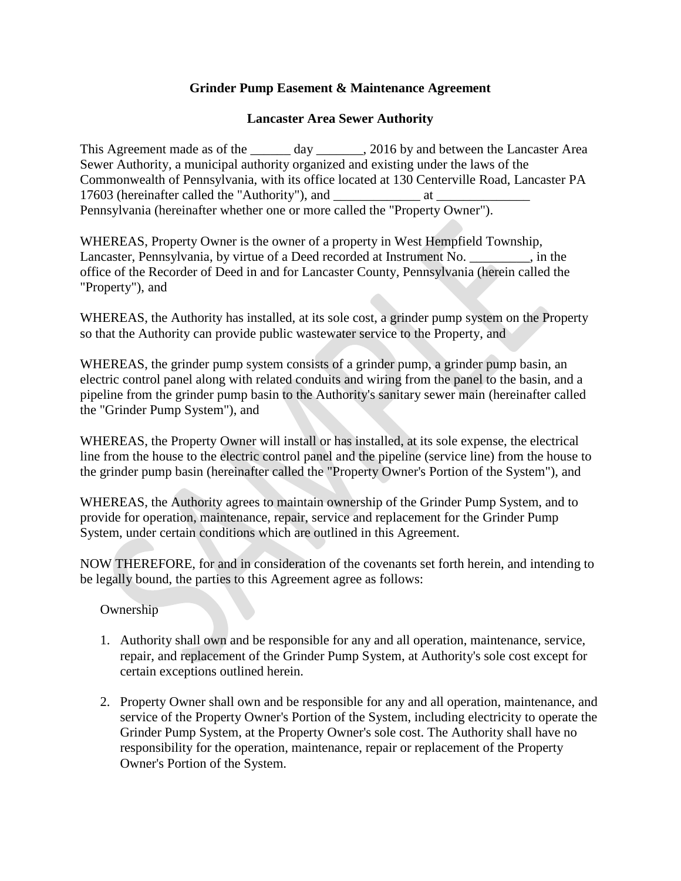# **Grinder Pump Easement & Maintenance Agreement**

# **Lancaster Area Sewer Authority**

This Agreement made as of the \_\_\_\_\_\_ day \_\_\_\_\_\_\_, 2016 by and between the Lancaster Area Sewer Authority, a municipal authority organized and existing under the laws of the Commonwealth of Pennsylvania, with its office located at 130 Centerville Road, Lancaster PA 17603 (hereinafter called the "Authority"), and \_\_\_\_\_\_\_\_\_\_\_\_\_ at \_\_\_\_\_\_\_\_\_\_\_\_\_\_ Pennsylvania (hereinafter whether one or more called the "Property Owner").

WHEREAS, Property Owner is the owner of a property in West Hempfield Township, Lancaster, Pennsylvania, by virtue of a Deed recorded at Instrument No. \_\_\_\_\_\_\_\_\_, in the office of the Recorder of Deed in and for Lancaster County, Pennsylvania (herein called the "Property"), and

WHEREAS, the Authority has installed, at its sole cost, a grinder pump system on the Property so that the Authority can provide public wastewater service to the Property, and

WHEREAS, the grinder pump system consists of a grinder pump, a grinder pump basin, an electric control panel along with related conduits and wiring from the panel to the basin, and a pipeline from the grinder pump basin to the Authority's sanitary sewer main (hereinafter called the "Grinder Pump System"), and

WHEREAS, the Property Owner will install or has installed, at its sole expense, the electrical line from the house to the electric control panel and the pipeline (service line) from the house to the grinder pump basin (hereinafter called the "Property Owner's Portion of the System"), and

WHEREAS, the Authority agrees to maintain ownership of the Grinder Pump System, and to provide for operation, maintenance, repair, service and replacement for the Grinder Pump System, under certain conditions which are outlined in this Agreement.

NOW THEREFORE, for and in consideration of the covenants set forth herein, and intending to be legally bound, the parties to this Agreement agree as follows:

Ownership

- 1. Authority shall own and be responsible for any and all operation, maintenance, service, repair, and replacement of the Grinder Pump System, at Authority's sole cost except for certain exceptions outlined herein.
- 2. Property Owner shall own and be responsible for any and all operation, maintenance, and service of the Property Owner's Portion of the System, including electricity to operate the Grinder Pump System, at the Property Owner's sole cost. The Authority shall have no responsibility for the operation, maintenance, repair or replacement of the Property Owner's Portion of the System.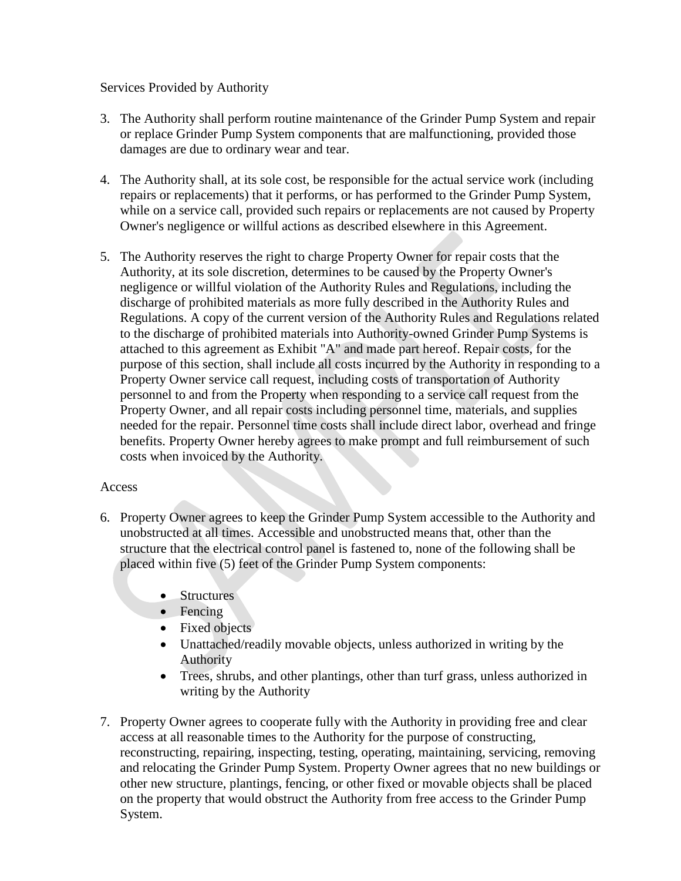## Services Provided by Authority

- 3. The Authority shall perform routine maintenance of the Grinder Pump System and repair or replace Grinder Pump System components that are malfunctioning, provided those damages are due to ordinary wear and tear.
- 4. The Authority shall, at its sole cost, be responsible for the actual service work (including repairs or replacements) that it performs, or has performed to the Grinder Pump System, while on a service call, provided such repairs or replacements are not caused by Property Owner's negligence or willful actions as described elsewhere in this Agreement.
- 5. The Authority reserves the right to charge Property Owner for repair costs that the Authority, at its sole discretion, determines to be caused by the Property Owner's negligence or willful violation of the Authority Rules and Regulations, including the discharge of prohibited materials as more fully described in the Authority Rules and Regulations. A copy of the current version of the Authority Rules and Regulations related to the discharge of prohibited materials into Authority-owned Grinder Pump Systems is attached to this agreement as Exhibit "A" and made part hereof. Repair costs, for the purpose of this section, shall include all costs incurred by the Authority in responding to a Property Owner service call request, including costs of transportation of Authority personnel to and from the Property when responding to a service call request from the Property Owner, and all repair costs including personnel time, materials, and supplies needed for the repair. Personnel time costs shall include direct labor, overhead and fringe benefits. Property Owner hereby agrees to make prompt and full reimbursement of such costs when invoiced by the Authority.

### Access

- 6. Property Owner agrees to keep the Grinder Pump System accessible to the Authority and unobstructed at all times. Accessible and unobstructed means that, other than the structure that the electrical control panel is fastened to, none of the following shall be placed within five (5) feet of the Grinder Pump System components:
	- Structures
	- Fencing
	- Fixed objects
	- Unattached/readily movable objects, unless authorized in writing by the Authority
	- Trees, shrubs, and other plantings, other than turf grass, unless authorized in writing by the Authority
- 7. Property Owner agrees to cooperate fully with the Authority in providing free and clear access at all reasonable times to the Authority for the purpose of constructing, reconstructing, repairing, inspecting, testing, operating, maintaining, servicing, removing and relocating the Grinder Pump System. Property Owner agrees that no new buildings or other new structure, plantings, fencing, or other fixed or movable objects shall be placed on the property that would obstruct the Authority from free access to the Grinder Pump System.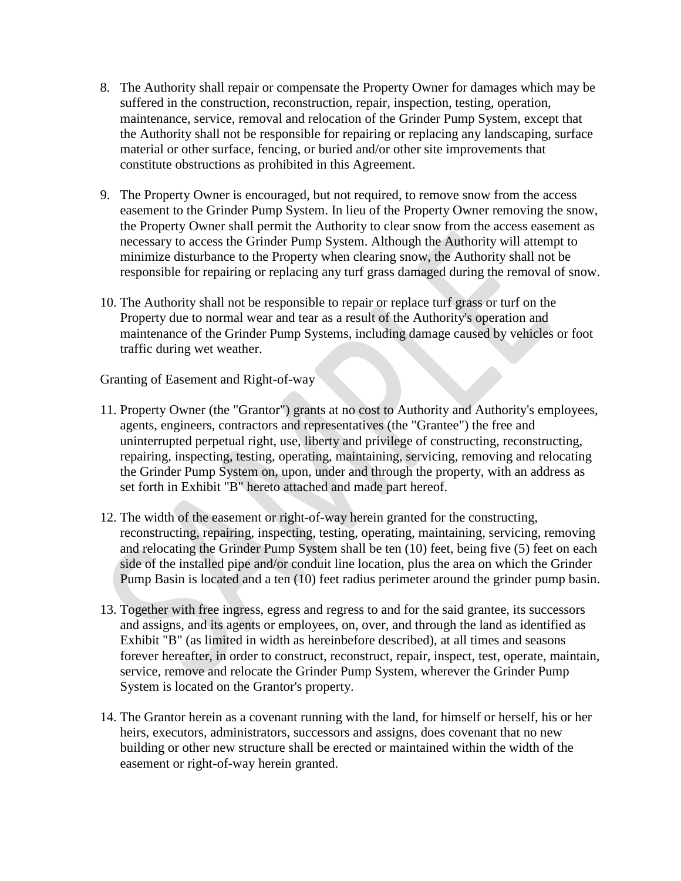- 8. The Authority shall repair or compensate the Property Owner for damages which may be suffered in the construction, reconstruction, repair, inspection, testing, operation, maintenance, service, removal and relocation of the Grinder Pump System, except that the Authority shall not be responsible for repairing or replacing any landscaping, surface material or other surface, fencing, or buried and/or other site improvements that constitute obstructions as prohibited in this Agreement.
- 9. The Property Owner is encouraged, but not required, to remove snow from the access easement to the Grinder Pump System. In lieu of the Property Owner removing the snow, the Property Owner shall permit the Authority to clear snow from the access easement as necessary to access the Grinder Pump System. Although the Authority will attempt to minimize disturbance to the Property when clearing snow, the Authority shall not be responsible for repairing or replacing any turf grass damaged during the removal of snow.
- 10. The Authority shall not be responsible to repair or replace turf grass or turf on the Property due to normal wear and tear as a result of the Authority's operation and maintenance of the Grinder Pump Systems, including damage caused by vehicles or foot traffic during wet weather.

Granting of Easement and Right-of-way

- 11. Property Owner (the "Grantor") grants at no cost to Authority and Authority's employees, agents, engineers, contractors and representatives (the "Grantee") the free and uninterrupted perpetual right, use, liberty and privilege of constructing, reconstructing, repairing, inspecting, testing, operating, maintaining, servicing, removing and relocating the Grinder Pump System on, upon, under and through the property, with an address as set forth in Exhibit "B" hereto attached and made part hereof.
- 12. The width of the easement or right-of-way herein granted for the constructing, reconstructing, repairing, inspecting, testing, operating, maintaining, servicing, removing and relocating the Grinder Pump System shall be ten (10) feet, being five (5) feet on each side of the installed pipe and/or conduit line location, plus the area on which the Grinder Pump Basin is located and a ten (10) feet radius perimeter around the grinder pump basin.
- 13. Together with free ingress, egress and regress to and for the said grantee, its successors and assigns, and its agents or employees, on, over, and through the land as identified as Exhibit "B" (as limited in width as hereinbefore described), at all times and seasons forever hereafter, in order to construct, reconstruct, repair, inspect, test, operate, maintain, service, remove and relocate the Grinder Pump System, wherever the Grinder Pump System is located on the Grantor's property.
- 14. The Grantor herein as a covenant running with the land, for himself or herself, his or her heirs, executors, administrators, successors and assigns, does covenant that no new building or other new structure shall be erected or maintained within the width of the easement or right-of-way herein granted.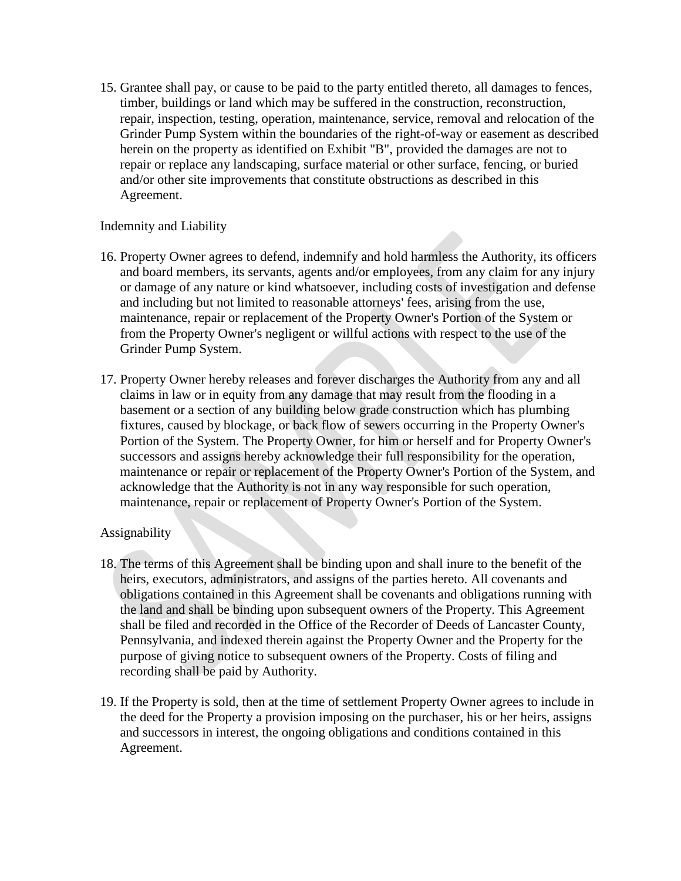15. Grantee shall pay, or cause to be paid to the party entitled thereto, all damages to fences, timber, buildings or land which may be suffered in the construction, reconstruction, repair, inspection, testing, operation, maintenance, service, removal and relocation of the Grinder Pump System within the boundaries of the right-of-way or easement as described herein on the property as identified on Exhibit "B", provided the damages are not to repair or replace any landscaping, surface material or other surface, fencing, or buried and/or other site improvements that constitute obstructions as described in this Agreement.

## Indemnity and Liability

- 16. Property Owner agrees to defend, indemnify and hold harmless the Authority, its officers and board members, its servants, agents and/or employees, from any claim for any injury or damage of any nature or kind whatsoever, including costs of investigation and defense and including but not limited to reasonable attorneys' fees, arising from the use, maintenance, repair or replacement of the Property Owner's Portion of the System or from the Property Owner's negligent or willful actions with respect to the use of the Grinder Pump System.
- 17. Property Owner hereby releases and forever discharges the Authority from any and all claims in law or in equity from any damage that may result from the flooding in a basement or a section of any building below grade construction which has plumbing fixtures, caused by blockage, or back flow of sewers occurring in the Property Owner's Portion of the System. The Property Owner, for him or herself and for Property Owner's successors and assigns hereby acknowledge their full responsibility for the operation, maintenance or repair or replacement of the Property Owner's Portion of the System, and acknowledge that the Authority is not in any way responsible for such operation, maintenance, repair or replacement of Property Owner's Portion of the System.

### Assignability

- 18. The terms of this Agreement shall be binding upon and shall inure to the benefit of the heirs, executors, administrators, and assigns of the parties hereto. All covenants and obligations contained in this Agreement shall be covenants and obligations running with the land and shall be binding upon subsequent owners of the Property. This Agreement shall be filed and recorded in the Office of the Recorder of Deeds of Lancaster County, Pennsylvania, and indexed therein against the Property Owner and the Property for the purpose of giving notice to subsequent owners of the Property. Costs of filing and recording shall be paid by Authority.
- 19. If the Property is sold, then at the time of settlement Property Owner agrees to include in the deed for the Property a provision imposing on the purchaser, his or her heirs, assigns and successors in interest, the ongoing obligations and conditions contained in this Agreement.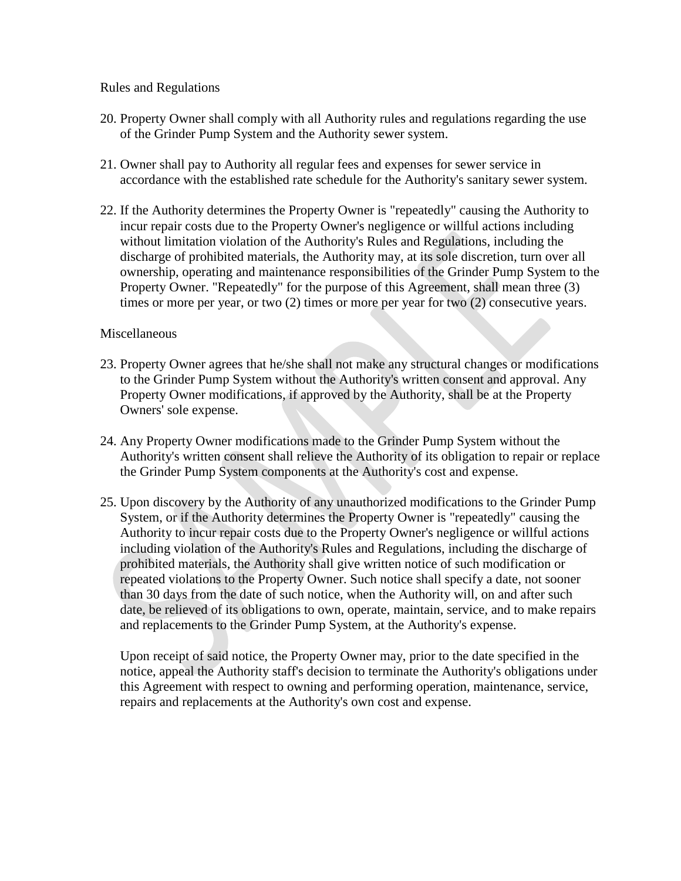### Rules and Regulations

- 20. Property Owner shall comply with all Authority rules and regulations regarding the use of the Grinder Pump System and the Authority sewer system.
- 21. Owner shall pay to Authority all regular fees and expenses for sewer service in accordance with the established rate schedule for the Authority's sanitary sewer system.
- 22. If the Authority determines the Property Owner is "repeatedly" causing the Authority to incur repair costs due to the Property Owner's negligence or willful actions including without limitation violation of the Authority's Rules and Regulations, including the discharge of prohibited materials, the Authority may, at its sole discretion, turn over all ownership, operating and maintenance responsibilities of the Grinder Pump System to the Property Owner. "Repeatedly" for the purpose of this Agreement, shall mean three (3) times or more per year, or two (2) times or more per year for two (2) consecutive years.

#### **Miscellaneous**

- 23. Property Owner agrees that he/she shall not make any structural changes or modifications to the Grinder Pump System without the Authority's written consent and approval. Any Property Owner modifications, if approved by the Authority, shall be at the Property Owners' sole expense.
- 24. Any Property Owner modifications made to the Grinder Pump System without the Authority's written consent shall relieve the Authority of its obligation to repair or replace the Grinder Pump System components at the Authority's cost and expense.
- 25. Upon discovery by the Authority of any unauthorized modifications to the Grinder Pump System, or if the Authority determines the Property Owner is "repeatedly" causing the Authority to incur repair costs due to the Property Owner's negligence or willful actions including violation of the Authority's Rules and Regulations, including the discharge of prohibited materials, the Authority shall give written notice of such modification or repeated violations to the Property Owner. Such notice shall specify a date, not sooner than 30 days from the date of such notice, when the Authority will, on and after such date, be relieved of its obligations to own, operate, maintain, service, and to make repairs and replacements to the Grinder Pump System, at the Authority's expense.

Upon receipt of said notice, the Property Owner may, prior to the date specified in the notice, appeal the Authority staff's decision to terminate the Authority's obligations under this Agreement with respect to owning and performing operation, maintenance, service, repairs and replacements at the Authority's own cost and expense.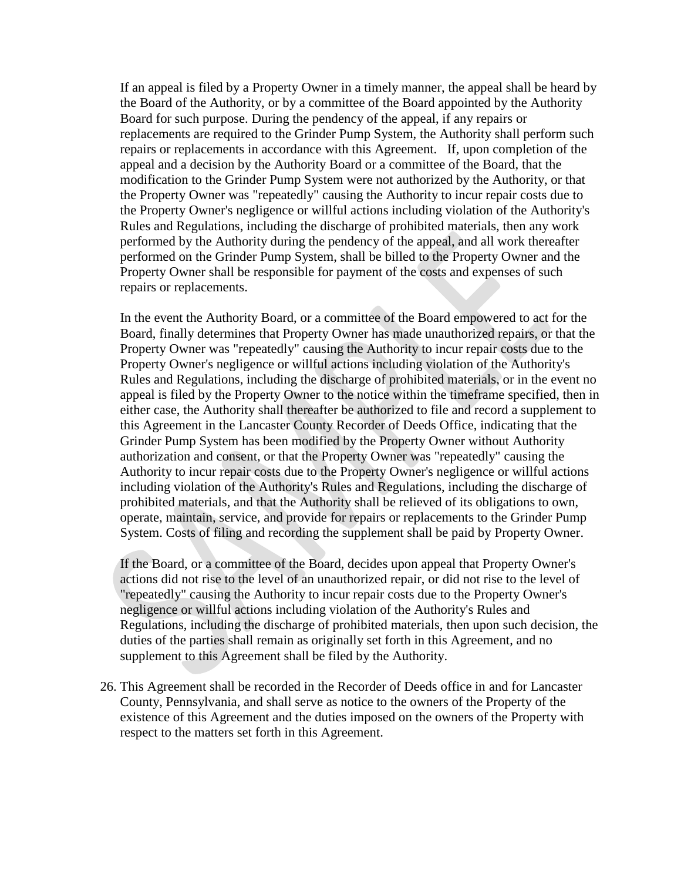If an appeal is filed by a Property Owner in a timely manner, the appeal shall be heard by the Board of the Authority, or by a committee of the Board appointed by the Authority Board for such purpose. During the pendency of the appeal, if any repairs or replacements are required to the Grinder Pump System, the Authority shall perform such repairs or replacements in accordance with this Agreement. If, upon completion of the appeal and a decision by the Authority Board or a committee of the Board, that the modification to the Grinder Pump System were not authorized by the Authority, or that the Property Owner was "repeatedly" causing the Authority to incur repair costs due to the Property Owner's negligence or willful actions including violation of the Authority's Rules and Regulations, including the discharge of prohibited materials, then any work performed by the Authority during the pendency of the appeal, and all work thereafter performed on the Grinder Pump System, shall be billed to the Property Owner and the Property Owner shall be responsible for payment of the costs and expenses of such repairs or replacements.

In the event the Authority Board, or a committee of the Board empowered to act for the Board, finally determines that Property Owner has made unauthorized repairs, or that the Property Owner was "repeatedly" causing the Authority to incur repair costs due to the Property Owner's negligence or willful actions including violation of the Authority's Rules and Regulations, including the discharge of prohibited materials, or in the event no appeal is filed by the Property Owner to the notice within the timeframe specified, then in either case, the Authority shall thereafter be authorized to file and record a supplement to this Agreement in the Lancaster County Recorder of Deeds Office, indicating that the Grinder Pump System has been modified by the Property Owner without Authority authorization and consent, or that the Property Owner was "repeatedly" causing the Authority to incur repair costs due to the Property Owner's negligence or willful actions including violation of the Authority's Rules and Regulations, including the discharge of prohibited materials, and that the Authority shall be relieved of its obligations to own, operate, maintain, service, and provide for repairs or replacements to the Grinder Pump System. Costs of filing and recording the supplement shall be paid by Property Owner.

If the Board, or a committee of the Board, decides upon appeal that Property Owner's actions did not rise to the level of an unauthorized repair, or did not rise to the level of "repeatedly" causing the Authority to incur repair costs due to the Property Owner's negligence or willful actions including violation of the Authority's Rules and Regulations, including the discharge of prohibited materials, then upon such decision, the duties of the parties shall remain as originally set forth in this Agreement, and no supplement to this Agreement shall be filed by the Authority.

26. This Agreement shall be recorded in the Recorder of Deeds office in and for Lancaster County, Pennsylvania, and shall serve as notice to the owners of the Property of the existence of this Agreement and the duties imposed on the owners of the Property with respect to the matters set forth in this Agreement.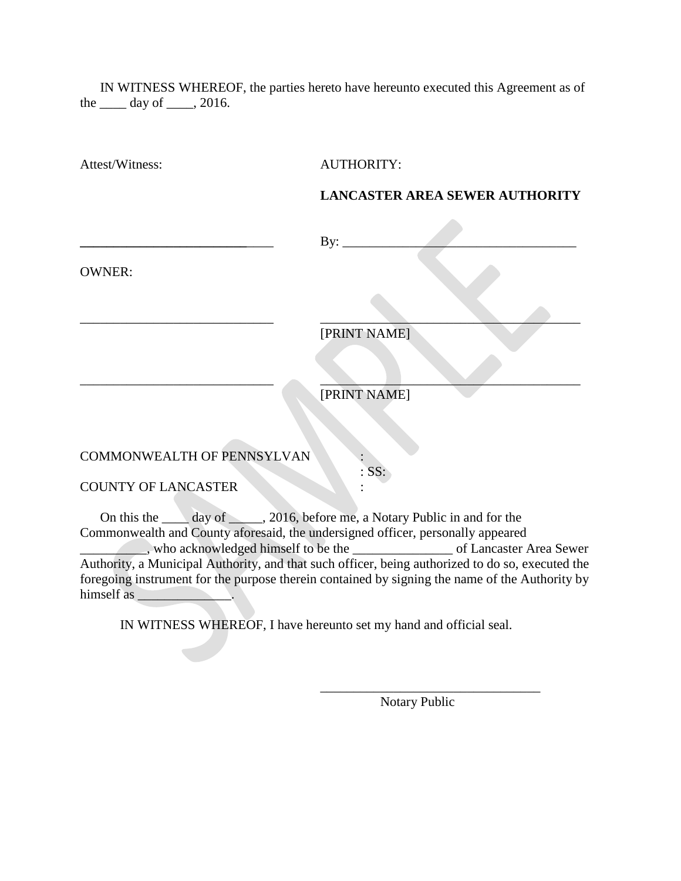IN WITNESS WHEREOF, the parties hereto have hereunto executed this Agreement as of the  $\rule{1em}{0.15mm}$  day of  $\rule{1em}{0.15mm}$ , 2016.

| Attest/Witness:                      | <b>AUTHORITY:</b>                                                                                         |
|--------------------------------------|-----------------------------------------------------------------------------------------------------------|
|                                      | <b>LANCASTER AREA SEWER AUTHORITY</b>                                                                     |
|                                      | By: $\overline{\phantom{0}}$                                                                              |
| <b>OWNER:</b>                        |                                                                                                           |
|                                      |                                                                                                           |
|                                      | [PRINT NAME]                                                                                              |
|                                      |                                                                                                           |
|                                      | [PRINT NAME]                                                                                              |
|                                      |                                                                                                           |
| COMMONWEALTH OF PENNSYLVAN           |                                                                                                           |
| <b>COUNTY OF LANCASTER</b>           | SS:                                                                                                       |
|                                      | On this the day of _____, 2016, before me, a Notary Public in and for the                                 |
| , who acknowledged himself to be the | Commonwealth and County aforesaid, the undersigned officer, personally appeared<br>of Lancaster Area Sewe |

\_\_\_\_\_\_\_\_\_\_, who acknowledged himself to be the \_\_\_\_\_\_\_\_\_\_\_\_\_\_\_ of Lancaster Area Sewer Authority, a Municipal Authority, and that such officer, being authorized to do so, executed the foregoing instrument for the purpose therein contained by signing the name of the Authority by himself as \_\_\_\_\_\_\_\_\_\_\_\_\_\_.

IN WITNESS WHEREOF, I have hereunto set my hand and official seal.

 $\mathcal{L}(\mathcal{A})$ 

Notary Public

\_\_\_\_\_\_\_\_\_\_\_\_\_\_\_\_\_\_\_\_\_\_\_\_\_\_\_\_\_\_\_\_\_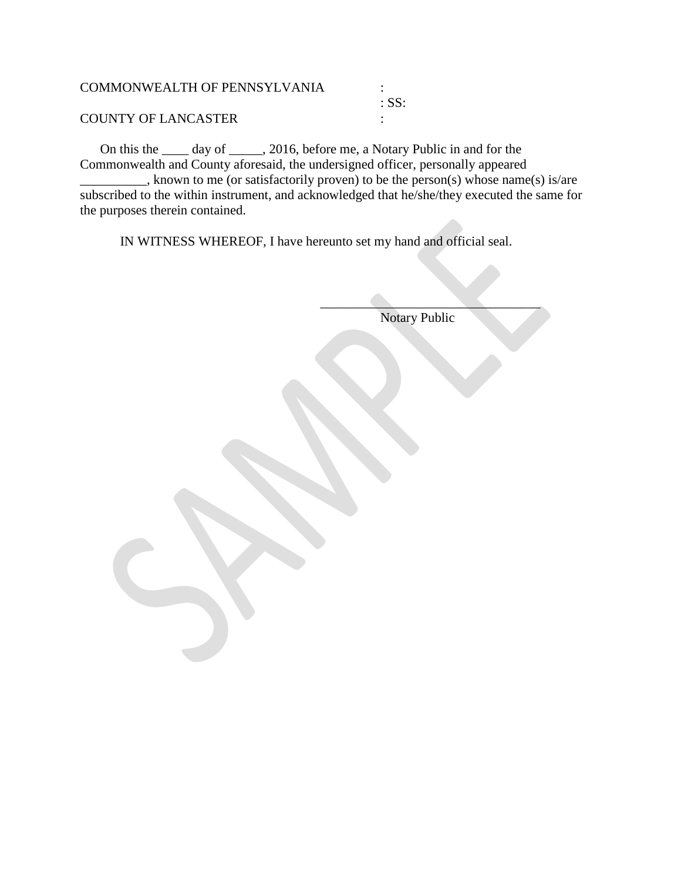| <b>COMMONWEALTH OF PENNSYLVANIA</b> |                  |
|-------------------------------------|------------------|
|                                     | $\therefore$ SS: |
| <b>COUNTY OF LANCASTER</b>          |                  |

On this the \_\_\_\_ day of \_\_\_\_\_, 2016, before me, a Notary Public in and for the Commonwealth and County aforesaid, the undersigned officer, personally appeared \_\_\_\_\_\_\_\_\_\_, known to me (or satisfactorily proven) to be the person(s) whose name(s) is/are subscribed to the within instrument, and acknowledged that he/she/they executed the same for the purposes therein contained.

IN WITNESS WHEREOF, I have hereunto set my hand and official seal.

Notary Public

 $\mathcal{L}=\mathcal{L}=\mathcal{L}=\mathcal{L}=\mathcal{L}=\mathcal{L}=\mathcal{L}=\mathcal{L}=\mathcal{L}=\mathcal{L}=\mathcal{L}=\mathcal{L}=\mathcal{L}=\mathcal{L}=\mathcal{L}=\mathcal{L}=\mathcal{L}=\mathcal{L}=\mathcal{L}=\mathcal{L}=\mathcal{L}=\mathcal{L}=\mathcal{L}=\mathcal{L}=\mathcal{L}=\mathcal{L}=\mathcal{L}=\mathcal{L}=\mathcal{L}=\mathcal{L}=\mathcal{L}=\mathcal{L}=\mathcal{L}=\mathcal{L}=\mathcal{L}=\mathcal{L}=\mathcal{$